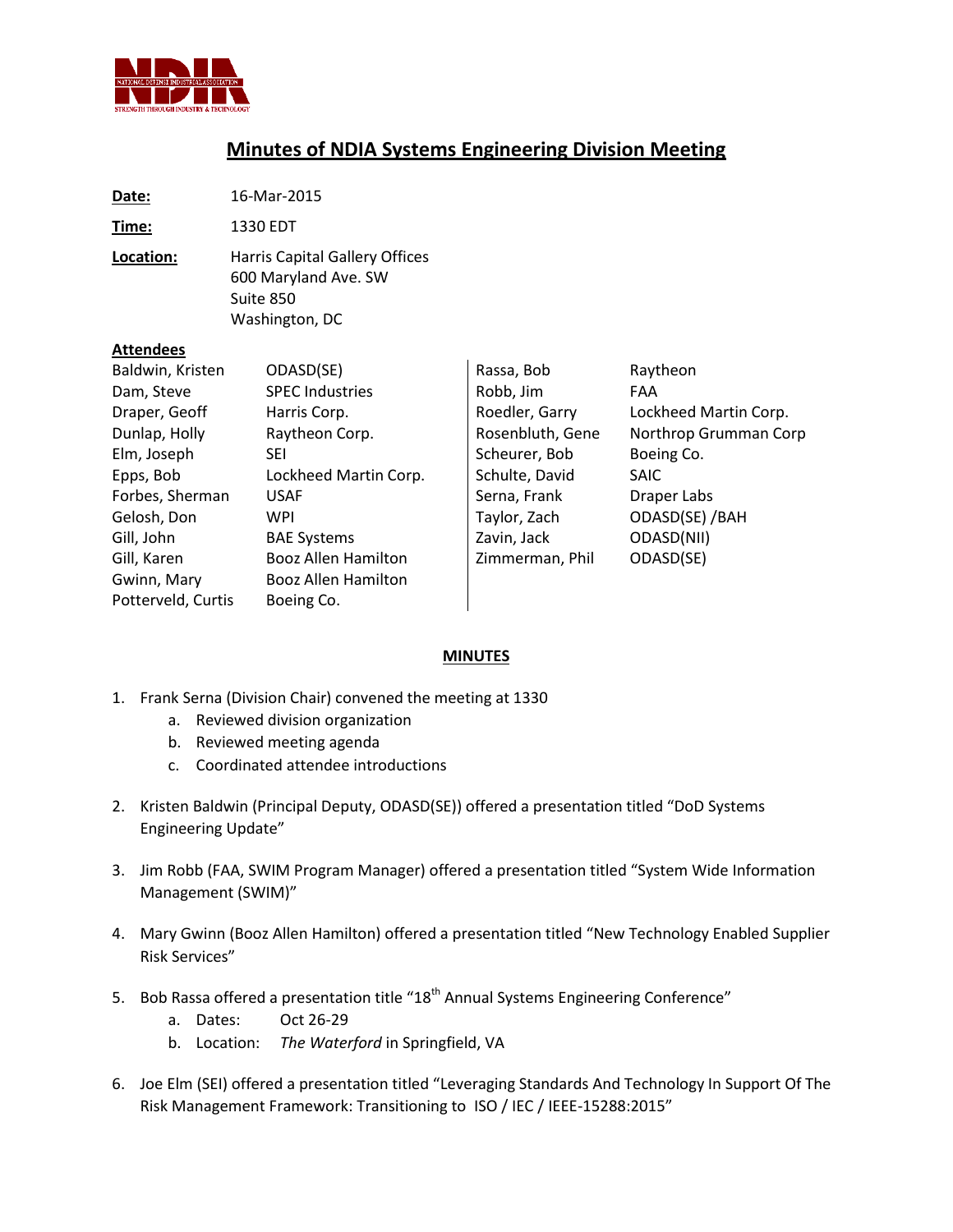

## **Minutes of NDIA Systems Engineering Division Meeting**

**Date:** 16-Mar-2015 **Time:** 1330 EDT **Location:** Harris Capital Gallery Offices 600 Maryland Ave. SW Suite 850 Washington, DC **Attendees** Baldwin, Kristen ODASD(SE) Dam, Steve SPEC Industries Draper, Geoff Harris Corp. Dunlap, Holly Raytheon Corp. Elm, Joseph SEI Epps, Bob Lockheed Martin Corp. Forbes, Sherman USAF Gelosh, Don WPI Gill, John BAE Systems Gill, Karen Booz Allen Hamilton Gwinn, Mary Booz Allen Hamilton Potterveld, Curtis Boeing Co. Rassa, Bob Raytheon Robb, Jim FAA Roedler, Garry Lockheed Martin Corp. Rosenbluth, Gene Northrop Grumman Corp Scheurer, Bob Boeing Co. Schulte, David SAIC Serna, Frank Draper Labs Taylor, Zach ODASD(SE) /BAH Zavin, Jack ODASD(NII) Zimmerman, Phil ODASD(SE)

## **MINUTES**

- 1. Frank Serna (Division Chair) convened the meeting at 1330
	- a. Reviewed division organization
	- b. Reviewed meeting agenda
	- c. Coordinated attendee introductions
- 2. Kristen Baldwin (Principal Deputy, ODASD(SE)) offered a presentation titled "DoD Systems Engineering Update"
- 3. Jim Robb (FAA, SWIM Program Manager) offered a presentation titled "System Wide Information Management (SWIM)"
- 4. Mary Gwinn (Booz Allen Hamilton) offered a presentation titled "New Technology Enabled Supplier Risk Services"
- 5. Bob Rassa offered a presentation title "18<sup>th</sup> Annual Systems Engineering Conference"
	- a. Dates: Oct 26-29
	- b. Location: *The Waterford* in Springfield, VA
- 6. Joe Elm (SEI) offered a presentation titled "Leveraging Standards And Technology In Support Of The Risk Management Framework: Transitioning to ISO / IEC / IEEE-15288:2015"